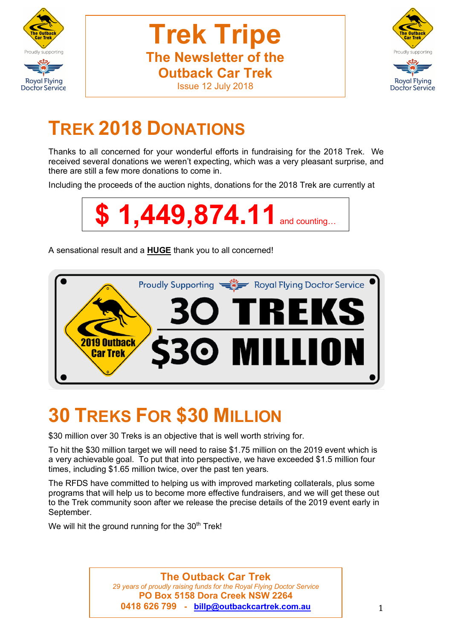



# **TREK 2018 DONATIONS**

Thanks to all concerned for your wonderful efforts in fundraising for the 2018 Trek. We received several donations we weren't expecting, which was a very pleasant surprise, and there are still a few more donations to come in.

Including the proceeds of the auction nights, donations for the 2018 Trek are currently at



A sensational result and a **HUGE** thank you to all concerned!



# **30 TREKS FOR \$30 MILLION**

\$30 million over 30 Treks is an objective that is well worth striving for.

To hit the \$30 million target we will need to raise \$1.75 million on the 2019 event which is a very achievable goal. To put that into perspective, we have exceeded \$1.5 million four times, including \$1.65 million twice, over the past ten years.

The RFDS have committed to helping us with improved marketing collaterals, plus some programs that will help us to become more effective fundraisers, and we will get these out to the Trek community soon after we release the precise details of the 2019 event early in September.

We will hit the ground running for the  $30<sup>th</sup>$  Trek!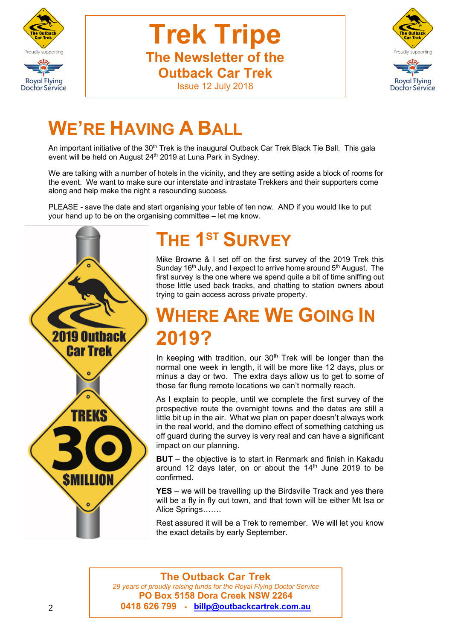



# **WE'RE HAVING A BALL**

An important initiative of the 30<sup>th</sup> Trek is the inaugural Outback Car Trek Black Tie Ball. This gala event will be held on August 24<sup>th</sup> 2019 at Luna Park in Sydney.

We are talking with a number of hotels in the vicinity, and they are setting aside a block of rooms for the event. We want to make sure our interstate and intrastate Trekkers and their supporters come along and help make the night a resounding success.

PLEASE - save the date and start organising your table of ten now. AND if you would like to put your hand up to be on the organising committee – let me know.



#### **THE 1ST SURVEY**

Mike Browne & I set off on the first survey of the 2019 Trek this Sunday  $16<sup>th</sup>$  July, and I expect to arrive home around  $5<sup>th</sup>$  August. The first survey is the one where we spend quite a bit of time sniffing out those little used back tracks, and chatting to station owners about trying to gain access across private property.

# **ERE ARE WE GOING IN 2019?**

In keeping with tradition, our  $30<sup>th</sup>$  Trek will be longer than the normal one week in length, it will be more like 12 days, plus or minus a day or two. The extra days allow us to get to some of those far flung remote locations we can't normally reach.

As I explain to people, until we complete the first survey of the prospective route the overnight towns and the dates are still a little bit up in the air. What we plan on paper doesn't always work in the real world, and the domino effect of something catching us off guard during the survey is very real and can have a significant impact on our planning.

**BUT** – the objective is to start in Renmark and finish in Kakadu around 12 days later, on or about the  $14<sup>th</sup>$  June 2019 to be confirmed.

**YES** – we will be travelling up the Birdsville Track and yes there will be a fly in fly out town, and that town will be either Mt Isa or Alice Springs…….

Rest assured it will be a Trek to remember. We will let you know the exact details by early September.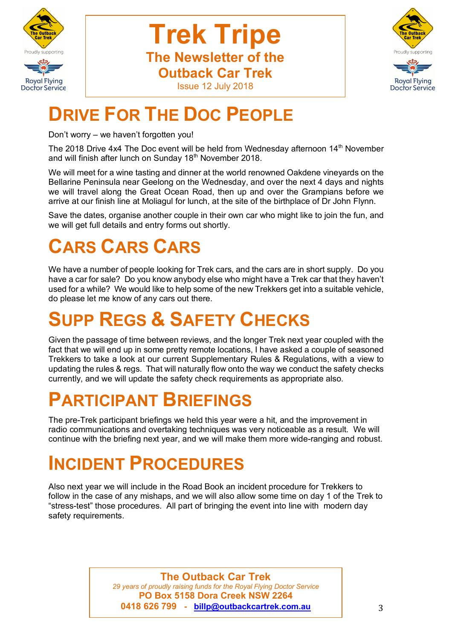



# **DRIVE FOR THE DOC PEOPLE**

Don't worry – we haven't forgotten you!

The 2018 Drive 4x4 The Doc event will be held from Wednesday afternoon 14<sup>th</sup> November and will finish after lunch on Sunday 18<sup>th</sup> November 2018.

We will meet for a wine tasting and dinner at the world renowned Oakdene vineyards on the Bellarine Peninsula near Geelong on the Wednesday, and over the next 4 days and nights we will travel along the Great Ocean Road, then up and over the Grampians before we arrive at our finish line at Moliagul for lunch, at the site of the birthplace of Dr John Flynn.

Save the dates, organise another couple in their own car who might like to join the fun, and we will get full details and entry forms out shortly.

# **CARS CARS CARS**

We have a number of people looking for Trek cars, and the cars are in short supply. Do you have a car for sale? Do you know anybody else who might have a Trek car that they haven't used for a while? We would like to help some of the new Trekkers get into a suitable vehicle, do please let me know of any cars out there.

# **SUPP REGS & SAFETY CHECKS**

Given the passage of time between reviews, and the longer Trek next year coupled with the fact that we will end up in some pretty remote locations, I have asked a couple of seasoned Trekkers to take a look at our current Supplementary Rules & Regulations, with a view to updating the rules & regs. That will naturally flow onto the way we conduct the safety checks currently, and we will update the safety check requirements as appropriate also.

# **PARTICIPANT BRIEFINGS**

The pre-Trek participant briefings we held this year were a hit, and the improvement in radio communications and overtaking techniques was very noticeable as a result. We will continue with the briefing next year, and we will make them more wide-ranging and robust.

## **INCIDENT PROCEDURES**

Also next year we will include in the Road Book an incident procedure for Trekkers to follow in the case of any mishaps, and we will also allow some time on day 1 of the Trek to "stress-test" those procedures. All part of bringing the event into line with modern day safety requirements.